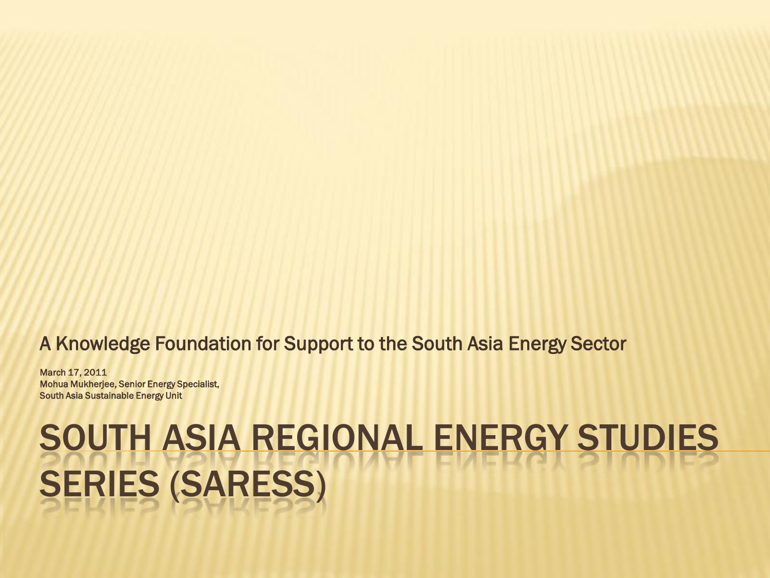#### A Knowledge Foundation for Support to the South Asia Energy Sector

March 17, 2011 Mohua Mukherjee, Senior Energy Specialist, South Asia Sustainable Energy Unit

### SOUTH ASIA REGIONAL ENERGY STUDIES SERIES (SARESS)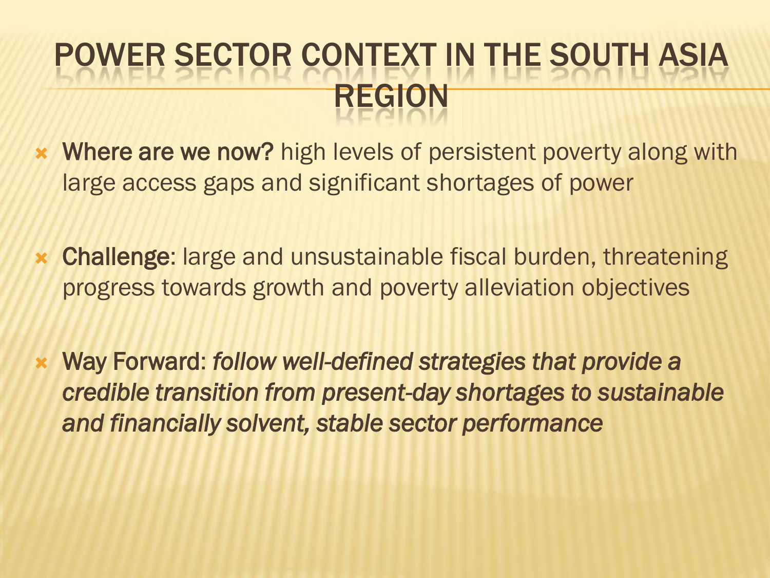### POWER SECTOR CONTEXT IN THE SOUTH ASIA REGION

- **\*** Where are we now? high levels of persistent poverty along with large access gaps and significant shortages of power
- Challenge: large and unsustainable fiscal burden, threatening progress towards growth and poverty alleviation objectives
- Way Forward: *follow well-defined strategies that provide a credible transition from present-day shortages to sustainable and financially solvent, stable sector performance*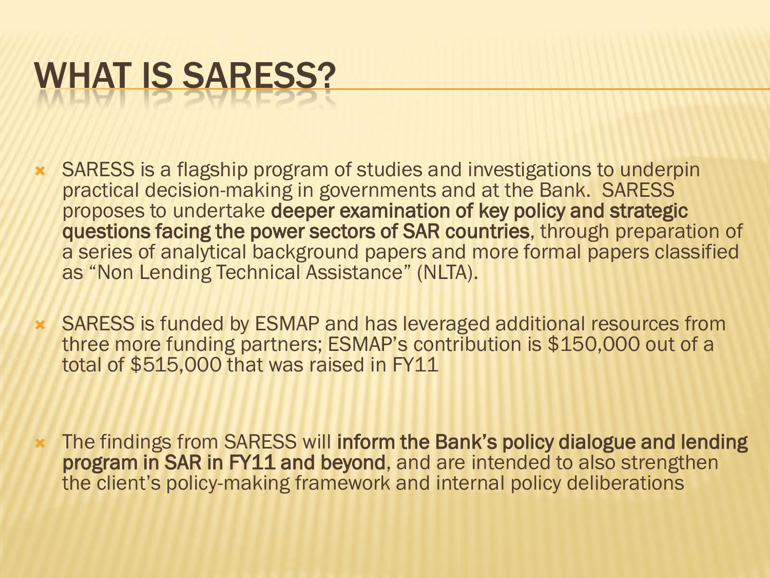## WHAT IS SARESS?

- SARESS is a flagship program of studies and investigations to underpin practical decision-making in governments and at the Bank. SARESS proposes to undertake deeper examination of key policy and strategic questions facing the power sectors of SAR countries, through preparation of a series of analytical background papers and more formal papers classified as "Non Lending Technical Assistance" (NLTA).
- SARESS is funded by ESMAP and has leveraged additional resources from three more funding partners; ESMAP's contribution is \$150,000 out of a total of \$515,000 that was raised in FY11
- The findings from SARESS will inform the Bank's policy dialogue and lending program in SAR in FY11 and beyond, and are intended to also strengthen the client's policy-making framework and internal policy deliberations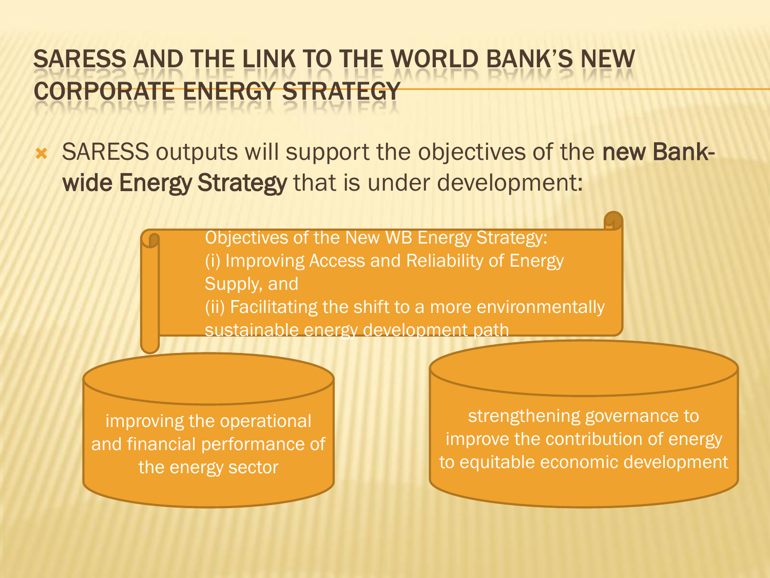#### SARESS AND THE LINK TO THE WORLD BANK'S NEW CORPORATE ENERGY STRATEGY

 SARESS outputs will support the objectives of the new Bankwide Energy Strategy that is under development:

> Objectives of the New WB Energy Strategy: (i) Improving Access and Reliability of Energy Supply, and (ii) Facilitating the shift to a more environmentally sustainable energy development path

improving the operational and financial performance of the energy sector

strengthening governance to improve the contribution of energy to equitable economic development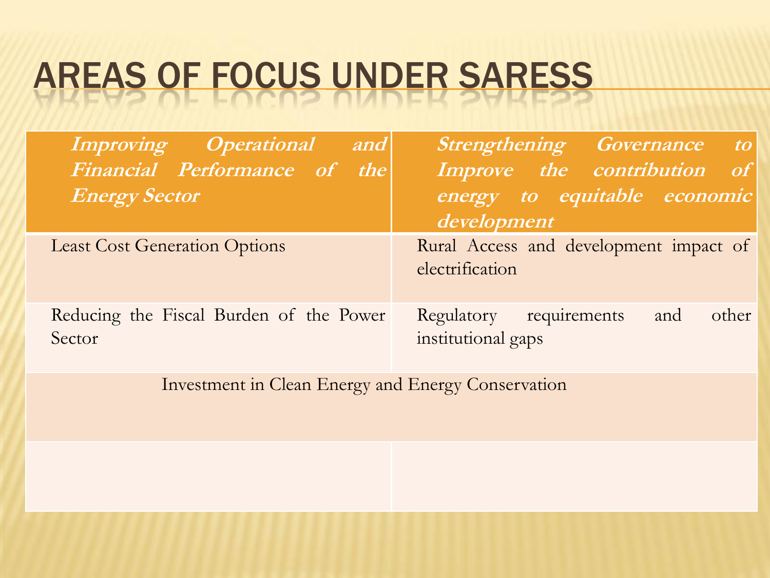## AREAS OF FOCUS UNDER SARESS

| <b>Improving Operational</b><br>and                | <b>Strengthening Governance to</b>                            |
|----------------------------------------------------|---------------------------------------------------------------|
| Financial Performance of the                       | Improve the contribution of                                   |
| <b>Energy Sector</b>                               | energy to equitable economic<br>development                   |
| <b>Least Cost Generation Options</b>               | Rural Access and development impact of<br>electrification     |
| Reducing the Fiscal Burden of the Power<br>Sector  | Regulatory requirements<br>other<br>and<br>institutional gaps |
| Investment in Clean Energy and Energy Conservation |                                                               |
|                                                    |                                                               |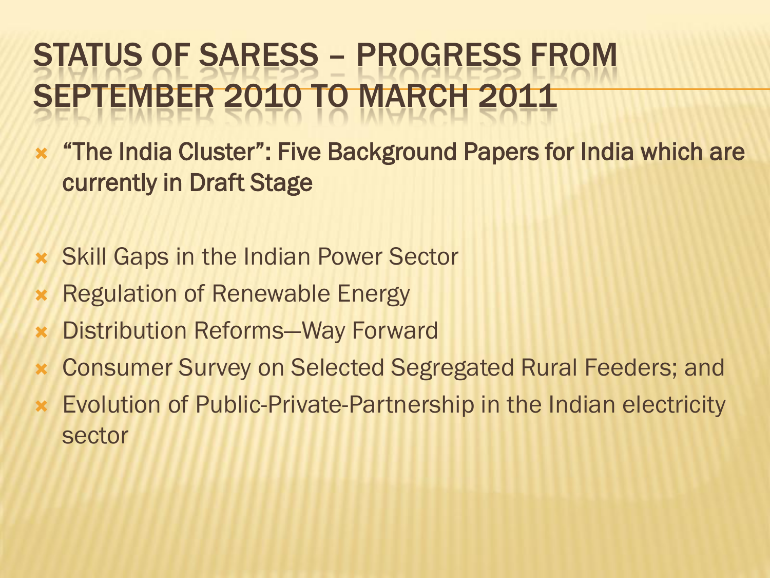#### STATUS OF SARESS – PROGRESS FROM SEPTEMBER 2010 TO MARCH 2011

- **\*** "The India Cluster": Five Background Papers for India which are currently in Draft Stage
- Skill Gaps in the Indian Power Sector
- **\* Regulation of Renewable Energy**
- Distribution Reforms—Way Forward
- Consumer Survey on Selected Segregated Rural Feeders; and
- Evolution of Public-Private-Partnership in the Indian electricity sector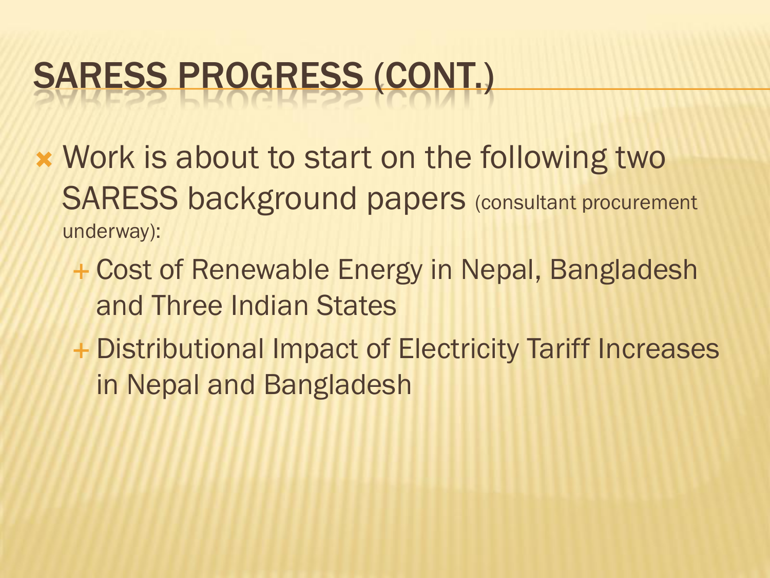## SARESS PROGRESS (CONT.)

- Work is about to start on the following two SARESS background papers (consultant procurement underway):
	- Cost of Renewable Energy in Nepal, Bangladesh and Three Indian States
	- + Distributional Impact of Electricity Tariff Increases in Nepal and Bangladesh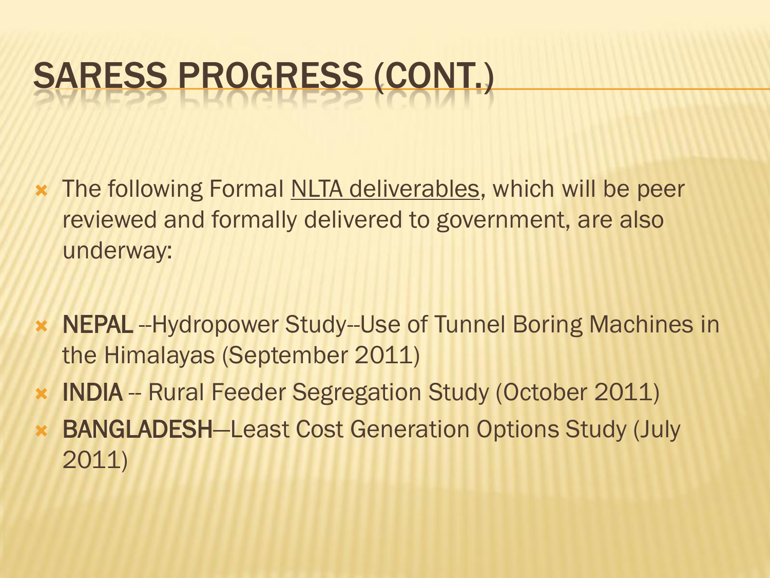# SARESS PROGRESS (CONT.)

- **\*** The following Formal NLTA deliverables, which will be peer reviewed and formally delivered to government, are also underway:
- **\* NEPAL** --Hydropower Study--Use of Tunnel Boring Machines in the Himalayas (September 2011)
- INDIA -- Rural Feeder Segregation Study (October 2011)
- BANGLADESH—Least Cost Generation Options Study (July 2011)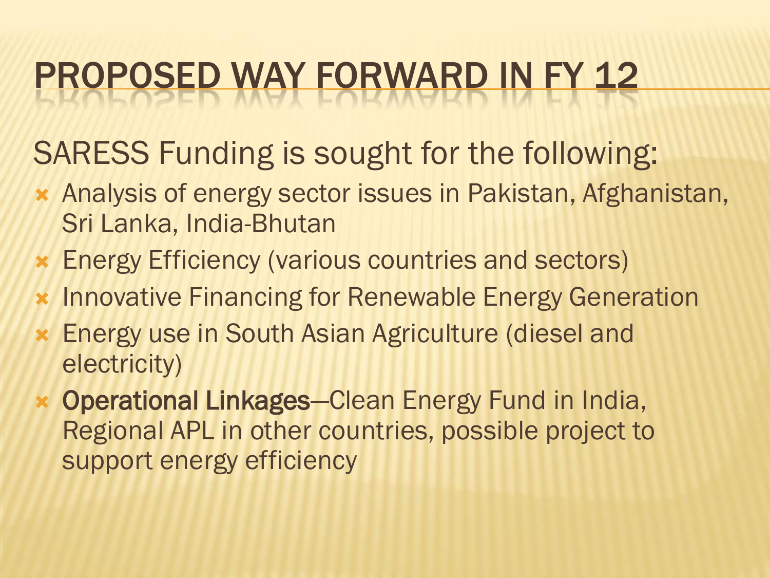# PROPOSED WAY FORWARD IN FY 12

SARESS Funding is sought for the following:

- Analysis of energy sector issues in Pakistan, Afghanistan, Sri Lanka, India-Bhutan
- Energy Efficiency (various countries and sectors)
- **\*** Innovative Financing for Renewable Energy Generation
- Energy use in South Asian Agriculture (diesel and electricity)
- Operational Linkages—Clean Energy Fund in India, Regional APL in other countries, possible project to support energy efficiency